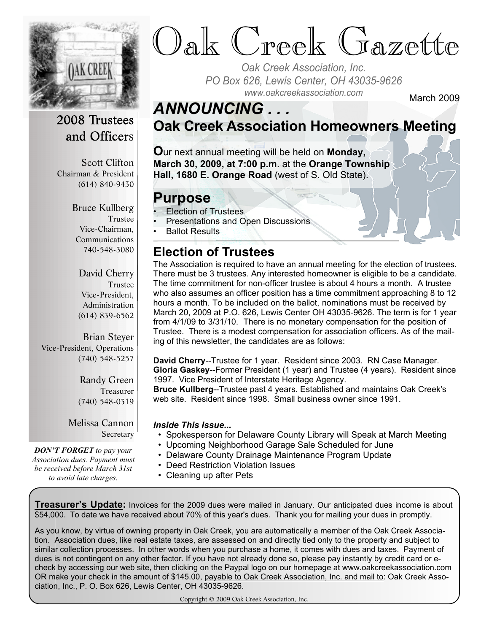

and Officers

Chairman & President (614) 840-9430

Scott Clifton

Bruce Kullberg

Vice-Chairman, Communications 740-548-3080

Trustee

# Oak Creek Gazette

*Oak Creek Association, Inc. PO Box 626, Lewis Center, OH 43035-9626 www.oakcreekassociation.com* March 2009

### *ANNOUNCING . . .*

**Oak Creek Association Homeowners Meeting**

**O**ur next annual meeting will be held on **Monday, March 30, 2009, at 7:00 p.m**. at the **Orange Township Hall, 1680 E. Orange Road** (west of S. Old State).

#### **Purpose**

- Election of Trustees
	- Presentations and Open Discussions

• Ballot Results

#### **Election of Trustees**

The Association is required to have an annual meeting for the election of trustees. There must be 3 trustees. Any interested homeowner is eligible to be a candidate. The time commitment for non-officer trustee is about 4 hours a month. A trustee who also assumes an officer position has a time commitment approaching 8 to 12 hours a month. To be included on the ballot, nominations must be received by March 20, 2009 at P.O. 626, Lewis Center OH 43035-9626. The term is for 1 year from 4/1/09 to 3/31/10. There is no monetary compensation for the position of Trustee. There is a modest compensation for association officers. As of the mailing of this newsletter, the candidates are as follows:

**David Cherry**--Trustee for 1 year. Resident since 2003. RN Case Manager. **Gloria Gaskey**--Former President (1 year) and Trustee (4 years). Resident since 1997. Vice President of Interstate Heritage Agency.

**Bruce Kullberg**--Trustee past 4 years. Established and maintains Oak Creek's web site. Resident since 1998. Small business owner since 1991.

#### *Inside This Issue...*

- Spokesperson for Delaware County Library will Speak at March Meeting
- Upcoming Neighborhood Garage Sale Scheduled for June
- Delaware County Drainage Maintenance Program Update
- Deed Restriction Violation Issues
- Cleaning up after Pets

**Treasurer's Update:** Invoices for the 2009 dues were mailed in January. Our anticipated dues income is about \$54,000. To date we have received about 70% of this year's dues. Thank you for mailing your dues in promptly.

As you know, by virtue of owning property in Oak Creek, you are automatically a member of the Oak Creek Association. Association dues, like real estate taxes, are assessed on and directly tied only to the property and subject to similar collection processes. In other words when you purchase a home, it comes with dues and taxes. Payment of dues is not contingent on any other factor. If you have not already done so, please pay instantly by credit card or echeck by accessing our web site, then clicking on the Paypal logo on our homepage at www.oakcreekassociation.com OR make your check in the amount of \$145.00, payable to Oak Creek Association, Inc. and mail to: Oak Creek Association, Inc., P. O. Box 626, Lewis Center, OH 43035-9626.

Copyright © 2009 Oak Creek Association, Inc.

David Cherry

Trustee Vice-President, Administration (614) 839-6562

Brian Steyer Vice-President, Operations (740) 548-5257

> Randy Green Treasurer (740) 548-0319

Melissa Cannon Secretary

*DON'T FORGET to pay your Association dues. Payment must be received before March 31st to avoid late charges.*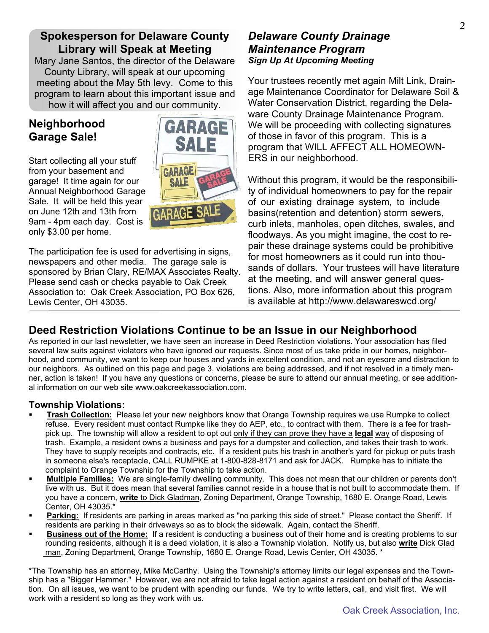#### **Spokesperson for Delaware County Library will Speak at Meeting**

Mary Jane Santos, the director of the Delaware County Library, will speak at our upcoming meeting about the May 5th levy. Come to this program to learn about this important issue and how it will affect you and our community.

#### **Neighborhood Garage Sale!**

Start collecting all your stuff from your basement and garage! It time again for our Annual Neighborhood Garage Sale. It will be held this year on June 12th and 13th from 9am - 4pm each day. Cost is only \$3.00 per home.



The participation fee is used for advertising in signs, newspapers and other media. The garage sale is sponsored by Brian Clary, RE/MAX Associates Realty. Please send cash or checks payable to Oak Creek Association to: Oak Creek Association, PO Box 626, Lewis Center, OH 43035.

#### *Delaware County Drainage Maintenance Program Sign Up At Upcoming Meeting*

Your trustees recently met again Milt Link, Drainage Maintenance Coordinator for Delaware Soil & Water Conservation District, regarding the Delaware County Drainage Maintenance Program. We will be proceeding with collecting signatures of those in favor of this program. This is a program that WILL AFFECT ALL HOMEOWN-ERS in our neighborhood.

Without this program, it would be the responsibility of individual homeowners to pay for the repair of our existing drainage system, to include basins(retention and detention) storm sewers, curb inlets, manholes, open ditches, swales, and floodways. As you might imagine, the cost to repair these drainage systems could be prohibitive for most homeowners as it could run into thousands of dollars. Your trustees will have literature at the meeting, and will answer general questions. Also, more information about this program is available at http://www.delawareswcd.org/

#### **Deed Restriction Violations Continue to be an Issue in our Neighborhood**

As reported in our last newsletter, we have seen an increase in Deed Restriction violations. Your association has filed several law suits against violators who have ignored our requests. Since most of us take pride in our homes, neighborhood, and community, we want to keep our houses and yards in excellent condition, and not an eyesore and distraction to our neighbors. As outlined on this page and page 3, violations are being addressed, and if not resolved in a timely manner, action is taken! If you have any questions or concerns, please be sure to attend our annual meeting, or see additional information on our web site www.oakcreekassociation.com.

#### **Township Violations:**

- ß **Trash Collection:** Please let your new neighbors know that Orange Township requires we use Rumpke to collect refuse. Every resident must contact Rumpke like they do AEP, etc., to contract with them. There is a fee for trash pick up. The township will allow a resident to opt out only if they can prove they have a **legal** way of disposing of trash. Example, a resident owns a business and pays for a dumpster and collection, and takes their trash to work. They have to supply receipts and contracts, etc. If a resident puts his trash in another's yard for pickup or puts trash in someone else's receptacle, CALL RUMPKE at 1-800-828-8171 and ask for JACK. Rumpke has to initiate the complaint to Orange Township for the Township to take action.
- ß **Multiple Families:** We are single-family dwelling community. This does not mean that our children or parents don't live with us. But it does mean that several families cannot reside in a house that is not built to accommodate them. If you have a concern, **write** to Dick Gladman, Zoning Department, Orange Township, 1680 E. Orange Road, Lewis Center, OH 43035.\*
- Parking: If residents are parking in areas marked as "no parking this side of street." Please contact the Sheriff. If residents are parking in their driveways so as to block the sidewalk. Again, contact the Sheriff.
- ß **Business out of the Home:** If a resident is conducting a business out of their home and is creating problems to sur rounding residents, although it is a deed violation, it is also a Township violation. Notify us, but also **write** Dick Glad man, Zoning Department, Orange Township, 1680 E. Orange Road, Lewis Center, OH 43035. \*

\*The Township has an attorney, Mike McCarthy. Using the Township's attorney limits our legal expenses and the Township has a "Bigger Hammer." However, we are not afraid to take legal action against a resident on behalf of the Association. On all issues, we want to be prudent with spending our funds. We try to write letters, call, and visit first. We will work with a resident so long as they work with us.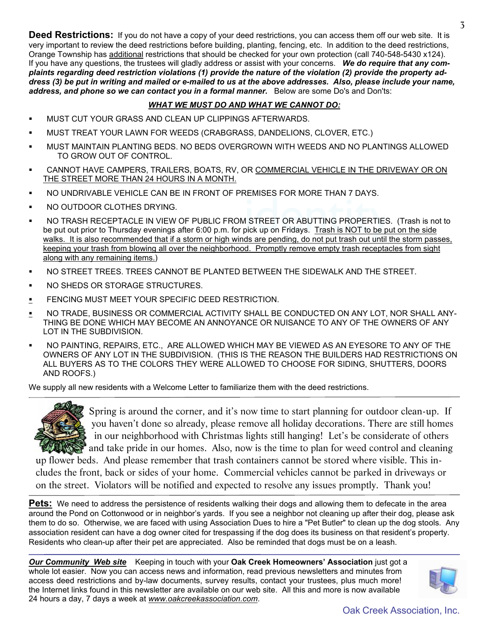**Deed Restrictions:** If you do not have a copy of your deed restrictions, you can access them off our web site. It is very important to review the deed restrictions before building, planting, fencing, etc. In addition to the deed restrictions, Orange Township has additional restrictions that should be checked for your own protection (call 740-548-5430 x124). If you have any questions, the trustees will gladly address or assist with your concerns. *We do require that any complaints regarding deed restriction violations (1) provide the nature of the violation (2) provide the property address (3) be put in writing and mailed or e-mailed to us at the above addresses. Also, please include your name,*

#### *WHAT WE MUST DO AND WHAT WE CANNOT DO:*

- ß MUST CUT YOUR GRASS AND CLEAN UP CLIPPINGS AFTERWARDS.
- ß MUST TREAT YOUR LAWN FOR WEEDS (CRABGRASS, DANDELIONS, CLOVER, ETC.)

*address, and phone so we can contact you in a formal manner.* Below are some Do's and Don'ts:

- ß MUST MAINTAIN PLANTING BEDS. NO BEDS OVERGROWN WITH WEEDS AND NO PLANTINGS ALLOWED TO GROW OUT OF CONTROL.
- ß CANNOT HAVE CAMPERS, TRAILERS, BOATS, RV, OR COMMERCIAL VEHICLE IN THE DRIVEWAY OR ON THE STREET MORE THAN 24 HOURS IN A MONTH.
- ß NO UNDRIVABLE VEHICLE CAN BE IN FRONT OF PREMISES FOR MORE THAN 7 DAYS.
- ß NO OUTDOOR CLOTHES DRYING.
- EMISES FOR MORE THAN 7 BATS.<br>I STREET OR ABUTTING PROPERTIES.<br>bick up on Fridays. Trash is NOT to be put ß NO TRASH RECEPTACLE IN VIEW OF PUBLIC FROM STREET OR ABUTTING PROPERTIES. (Trash is not to be put out prior to Thursday evenings after 6:00 p.m. for pick up on Fridays. Trash is NOT to be put on the side walks. It is also recommended that if a storm or high winds are pending, do not put trash out until the storm passes, keeping your trash from blowing all over the neighborhood. Promptly remove empty trash receptacles from sight along with any remaining items.)
- ß NO STREET TREES. TREES CANNOT BE PLANTED BETWEEN THE SIDEWALK AND THE STREET.
- ß NO SHEDS OR STORAGE STRUCTURES.
- **EXECTIVE MUST MEET YOUR SPECIFIC DEED RESTRICTION.**
- **NO TRADE, BUSINESS OR COMMERCIAL ACTIVITY SHALL BE CONDUCTED ON ANY LOT, NOR SHALL ANY-**THING BE DONE WHICH MAY BECOME AN ANNOYANCE OR NUISANCE TO ANY OF THE OWNERS OF ANY LOT IN THE SUBDIVISION.
- ß NO PAINTING, REPAIRS, ETC., ARE ALLOWED WHICH MAY BE VIEWED AS AN EYESORE TO ANY OF THE OWNERS OF ANY LOT IN THE SUBDIVISION. (THIS IS THE REASON THE BUILDERS HAD RESTRICTIONS ON ALL BUYERS AS TO THE COLORS THEY WERE ALLOWED TO CHOOSE FOR SIDING, SHUTTERS, DOORS AND ROOFS.)

We supply all new residents with a Welcome Letter to familiarize them with the deed restrictions.



 Spring is around the corner, and it's now time to start planning for outdoor clean-up. If you haven't done so already, please remove all holiday decorations. There are still homes in our neighborhood with Christmas lights still hanging! Let's be considerate of others and take pride in our homes. Also, now is the time to plan for weed control and cleaning

up flower beds. And please remember that trash containers cannot be stored where visible. This includes the front, back or sides of your home. Commercial vehicles cannot be parked in driveways or on the street. Violators will be notified and expected to resolve any issues promptly. Thank you!

Pets: We need to address the persistence of residents walking their dogs and allowing them to defecate in the area around the Pond on Cottonwood or in neighbor's yards. If you see a neighbor not cleaning up after their dog, please ask them to do so. Otherwise, we are faced with using Association Dues to hire a "Pet Butler" to clean up the dog stools. Any association resident can have a dog owner cited for trespassing if the dog does its business on that resident's property. Residents who clean-up after their pet are appreciated. Also be reminded that dogs must be on a leash.

*Our Community Web site* Keeping in touch with your **Oak Creek Homeowners' Association** just got a whole lot easier. Now you can access news and information, read previous newsletters and minutes from access deed restrictions and by-law documents, survey results, contact your trustees, plus much more! the Internet links found in this newsletter are available on our web site. All this and more is now available 24 hours a day, 7 days a week at *www.oakcreekassociation.com*.



Oak Creek Association, Inc.